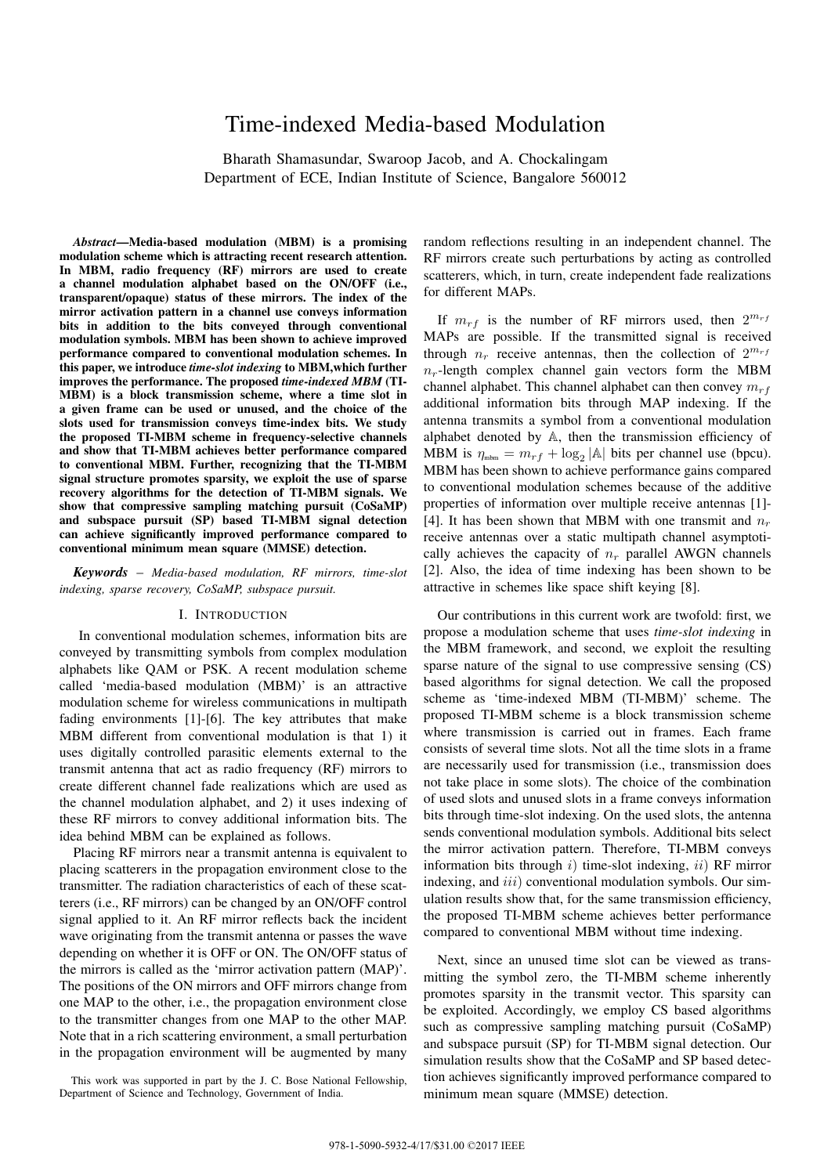# Time-indexed Media-based Modulation

Bharath Shamasundar, Swaroop Jacob, and A. Chockalingam Department of ECE, Indian Institute of Science, Bangalore 560012

*Abstract*—Media-based modulation (MBM) is a promising modulation scheme which is attracting recent research attention. In MBM, radio frequency (RF) mirrors are used to create a channel modulation alphabet based on the ON/OFF (i.e., transparent/opaque) status of these mirrors. The index of the mirror activation pattern in a channel use conveys information bits in addition to the bits conveyed through conventional modulation symbols. MBM has been shown to achieve improved performance compared to conventional modulation schemes. In this paper, we introduce *time-slot indexing* to MBM,which further improves the performance. The proposed *time-indexed MBM* (TI-MBM) is a block transmission scheme, where a time slot in a given frame can be used or unused, and the choice of the slots used for transmission conveys time-index bits. We study the proposed TI-MBM scheme in frequency-selective channels and show that TI-MBM achieves better performance compared to conventional MBM. Further, recognizing that the TI-MBM signal structure promotes sparsity, we exploit the use of sparse recovery algorithms for the detection of TI-MBM signals. We show that compressive sampling matching pursuit (CoSaMP) and subspace pursuit (SP) based TI-MBM signal detection can achieve significantly improved performance compared to conventional minimum mean square (MMSE) detection.

*Keywords* – *Media-based modulation, RF mirrors, time-slot indexing, sparse recovery, CoSaMP, subspace pursuit.*

### I. INTRODUCTION

In conventional modulation schemes, information bits are conveyed by transmitting symbols from complex modulation alphabets like QAM or PSK. A recent modulation scheme called 'media-based modulation (MBM)' is an attractive modulation scheme for wireless communications in multipath fading environments [1]-[6]. The key attributes that make MBM different from conventional modulation is that 1) it uses digitally controlled parasitic elements external to the transmit antenna that act as radio frequency (RF) mirrors to create different channel fade realizations which are used as the channel modulation alphabet, and 2) it uses indexing of these RF mirrors to convey additional information bits. The idea behind MBM can be explained as follows.

Placing RF mirrors near a transmit antenna is equivalent to placing scatterers in the propagation environment close to the transmitter. The radiation characteristics of each of these scatterers (i.e., RF mirrors) can be changed by an ON/OFF control signal applied to it. An RF mirror reflects back the incident wave originating from the transmit antenna or passes the wave depending on whether it is OFF or ON. The ON/OFF status of the mirrors is called as the 'mirror activation pattern (MAP)'. The positions of the ON mirrors and OFF mirrors change from one MAP to the other, i.e., the propagation environment close to the transmitter changes from one MAP to the other MAP. Note that in a rich scattering environment, a small perturbation in the propagation environment will be augmented by many

random reflections resulting in an independent channel. The RF mirrors create such perturbations by acting as controlled scatterers, which, in turn, create independent fade realizations for different MAPs.

If  $m_{rf}$  is the number of RF mirrors used, then  $2^{m_{rf}}$ MAPs are possible. If the transmitted signal is received through  $n_r$  receive antennas, then the collection of  $2^{m_{rf}}$  $n_r$ -length complex channel gain vectors form the MBM channel alphabet. This channel alphabet can then convey *mrf* additional information bits through MAP indexing. If the antenna transmits a symbol from a conventional modulation alphabet denoted by A, then the transmission efficiency of MBM is  $\eta_{\text{mbm}} = m_{rf} + \log_2 |\mathbb{A}|$  bits per channel use (bpcu). MBM has been shown to achieve performance gains compared to conventional modulation schemes because of the additive properties of information over multiple receive antennas [1]- [4]. It has been shown that MBM with one transmit and  $n_r$ receive antennas over a static multipath channel asymptotically achieves the capacity of  $n_r$  parallel AWGN channels [2]. Also, the idea of time indexing has been shown to be attractive in schemes like space shift keying [8].

Our contributions in this current work are twofold: first, we propose a modulation scheme that uses *time-slot indexing* in the MBM framework, and second, we exploit the resulting sparse nature of the signal to use compressive sensing (CS) based algorithms for signal detection. We call the proposed scheme as 'time-indexed MBM (TI-MBM)' scheme. The proposed TI-MBM scheme is a block transmission scheme where transmission is carried out in frames. Each frame consists of several time slots. Not all the time slots in a frame are necessarily used for transmission (i.e., transmission does not take place in some slots). The choice of the combination of used slots and unused slots in a frame conveys information bits through time-slot indexing. On the used slots, the antenna sends conventional modulation symbols. Additional bits select the mirror activation pattern. Therefore, TI-MBM conveys information bits through *i*) time-slot indexing, *ii*) RF mirror indexing, and *iii*) conventional modulation symbols. Our simulation results show that, for the same transmission efficiency, the proposed TI-MBM scheme achieves better performance compared to conventional MBM without time indexing.

Next, since an unused time slot can be viewed as transmitting the symbol zero, the TI-MBM scheme inherently promotes sparsity in the transmit vector. This sparsity can be exploited. Accordingly, we employ CS based algorithms such as compressive sampling matching pursuit (CoSaMP) and subspace pursuit (SP) for TI-MBM signal detection. Our simulation results show that the CoSaMP and SP based detection achieves significantly improved performance compared to minimum mean square (MMSE) detection.

This work was supported in part by the J. C. Bose National Fellowship, Department of Science and Technology, Government of India.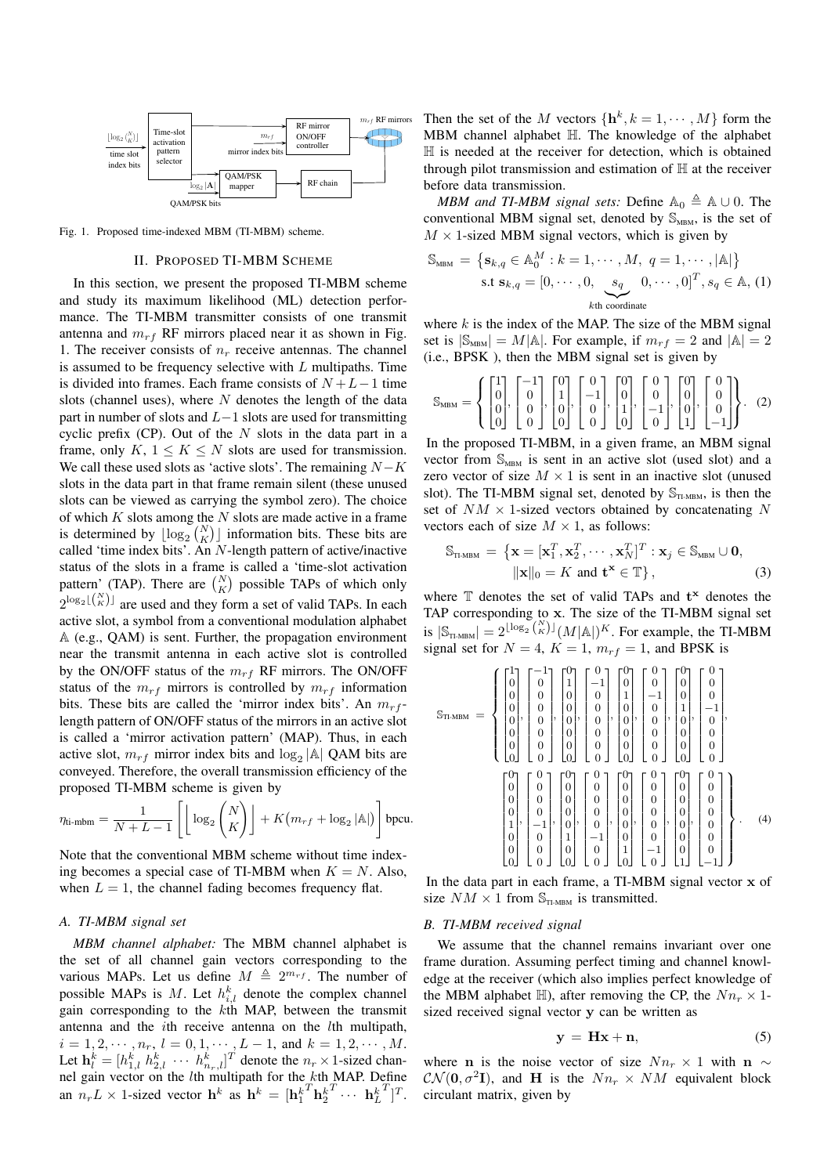

Fig. 1. Proposed time-indexed MBM (TI-MBM) scheme.

#### II. PROPOSED TI-MBM SCHEME

In this section, we present the proposed TI-MBM scheme and study its maximum likelihood (ML) detection performance. The TI-MBM transmitter consists of one transmit antenna and  $m_{rf}$  RF mirrors placed near it as shown in Fig. 1. The receiver consists of  $n_r$  receive antennas. The channel is assumed to be frequency selective with *L* multipaths. Time is divided into frames. Each frame consists of *N* +*L−*1 time slots (channel uses), where *N* denotes the length of the data part in number of slots and *L−*1 slots are used for transmitting cyclic prefix (CP). Out of the *N* slots in the data part in a frame, only  $K$ ,  $1 \leq K \leq N$  slots are used for transmission. We call these used slots as 'active slots'. The remaining *N−K* slots in the data part in that frame remain silent (these unused slots can be viewed as carrying the symbol zero). The choice of which *K* slots among the *N* slots are made active in a frame is determined by  $\lfloor \log_2 {N \choose K} \rfloor$  information bits. These bits are called 'time index bits'. An *N*-length pattern of active/inactive status of the slots in a frame is called a 'time-slot activation pattern' (TAP). There are  $\binom{N}{K}$  possible TAPs of which only  $2^{\log_2\lfloor {N \choose K} \rfloor}$  are used and they form a set of valid TAPs. In each active slot, a symbol from a conventional modulation alphabet A (e.g., QAM) is sent. Further, the propagation environment near the transmit antenna in each active slot is controlled by the ON/OFF status of the *mrf* RF mirrors. The ON/OFF status of the  $m_{rf}$  mirrors is controlled by  $m_{rf}$  information bits. These bits are called the 'mirror index bits'. An  $m_{rf}$ length pattern of ON/OFF status of the mirrors in an active slot is called a 'mirror activation pattern' (MAP). Thus, in each active slot,  $m_{rf}$  mirror index bits and  $\log_2 |A|$  QAM bits are conveyed. Therefore, the overall transmission efficiency of the proposed TI-MBM scheme is given by

$$
\eta_{\text{ti-mbm}} = \frac{1}{N + L - 1} \left[ \left\lfloor \log_2 \binom{N}{K} \right\rfloor + K \left( m_{rf} + \log_2 |A| \right) \right] \text{bpcu.}
$$

Note that the conventional MBM scheme without time indexing becomes a special case of TI-MBM when  $K = N$ . Also, when  $L = 1$ , the channel fading becomes frequency flat.

## *A. TI-MBM signal set*

*MBM channel alphabet:* The MBM channel alphabet is the set of all channel gain vectors corresponding to the various MAPs. Let us define  $M \triangleq 2^{m_{rf}}$ . The number of possible MAPs is M. Let  $h_{i,l}^k$  denote the complex channel gain corresponding to the *k*th MAP, between the transmit antenna and the *i*th receive antenna on the *l*th multipath,  $i = 1, 2, \cdots, n_r, l = 0, 1, \cdots, L - 1$ , and  $k = 1, 2, \cdots, M$ . Let  $\mathbf{h}_l^k = [h_{1,l}^k \ h_{2,l}^k \ \cdots \ h_{n_r,l}^k]^T$  denote the  $n_r \times 1$ -sized channel gain vector on the *l*th multipath for the *k*th MAP. Define an  $n_r L \times 1$ -sized vector  $\mathbf{h}^k$  as  $\mathbf{h}^k = [\mathbf{h}_1^k]$  ${}^{T}\mathbf{h}_{2}^{k}$  $T \ldots h_L^k$  $T$ <sup>T</sup><sub>1</sub>*T*. Then the set of the *M* vectors  $\{h^k, k = 1, \dots, M\}$  form the MBM channel alphabet H. The knowledge of the alphabet H is needed at the receiver for detection, which is obtained through pilot transmission and estimation of H at the receiver before data transmission.

*MBM and TI-MBM signal sets:* Define  $\mathbb{A}_0 \triangleq \mathbb{A} \cup \mathbb{0}$ . The conventional MBM signal set, denoted by  $\mathbb{S}_{MBM}$ , is the set of  $M \times 1$ -sized MBM signal vectors, which is given by

$$
\mathbb{S}_{\text{MBM}} = \left\{ \mathbf{s}_{k,q} \in \mathbb{A}_{0}^{M} : k = 1, \cdots, M, q = 1, \cdots, |\mathbb{A}| \right\}
$$
  
s.t  $\mathbf{s}_{k,q} = [0, \cdots, 0, \underbrace{s_{q}}_{k\text{th coordinate}}, 0, \cdots, 0]^{T}, s_{q} \in \mathbb{A}, (1)$ 

where *k* is the index of the MAP. The size of the MBM signal set is  $|\mathbb{S}_{MBM}| = M|\mathbb{A}|$ . For example, if  $m_{rf} = 2$  and  $|\mathbb{A}| = 2$ (i.e., BPSK ), then the MBM signal set is given by

$$
\mathbb{S}_{\text{MBM}} = \left\{ \begin{bmatrix} 1 \\ 0 \\ 0 \\ 0 \end{bmatrix}, \begin{bmatrix} -1 \\ 0 \\ 0 \\ 0 \end{bmatrix}, \begin{bmatrix} 0 \\ 1 \\ 0 \\ 0 \end{bmatrix}, \begin{bmatrix} 0 \\ -1 \\ 0 \\ 0 \end{bmatrix}, \begin{bmatrix} 0 \\ 0 \\ 1 \\ 0 \end{bmatrix}, \begin{bmatrix} 0 \\ 0 \\ -1 \\ 0 \end{bmatrix}, \begin{bmatrix} 0 \\ 0 \\ 0 \\ 1 \end{bmatrix}, \begin{bmatrix} 0 \\ 0 \\ 0 \\ -1 \end{bmatrix} \right\}. (2)
$$

In the proposed TI-MBM, in a given frame, an MBM signal vector from  $\mathbb{S}_{MBM}$  is sent in an active slot (used slot) and a zero vector of size  $M \times 1$  is sent in an inactive slot (unused slot). The TI-MBM signal set, denoted by  $\mathbb{S}_{\text{TI-MBM}}$ , is then the set of *NM ×* 1-sized vectors obtained by concatenating *N* vectors each of size  $M \times 1$ , as follows:

$$
\mathbb{S}_{\text{thmem}} = \left\{ \mathbf{x} = [\mathbf{x}_1^T, \mathbf{x}_2^T, \cdots, \mathbf{x}_N^T]^T : \mathbf{x}_j \in \mathbb{S}_{\text{thm}} \cup \mathbf{0}, \, ||\mathbf{x}||_0 = K \text{ and } \mathbf{t}^{\mathbf{x}} \in \mathbb{T} \right\},\tag{3}
$$

where T denotes the set of valid TAPs and **t <sup>x</sup>** denotes the TAP corresponding to **x**. The size of the TI-MBM signal set is  $|\mathbb{S}_{\text{TI-MBM}}| = 2^{\lfloor \log_2 {N \choose K} \rfloor} (M|\mathbb{A}|)^K$ . For example, the TI-MBM signal set for  $N = 4$ ,  $K = 1$ ,  $m_{rf} = 1$ , and BPSK is

|                              | 0<br>0<br>0<br>0<br>0<br>0<br>$\boldsymbol{0}$<br>0<br>$\mathbf{0}$<br>$\boldsymbol{0}$<br>1<br>$\boldsymbol{0}$<br>0                                                             |                  |
|------------------------------|-----------------------------------------------------------------------------------------------------------------------------------------------------------------------------------|------------------|
| $\mathbb{S}_{\text{TI-MBM}}$ | $\boldsymbol{0}$<br>$\boldsymbol{0}$<br>$\boldsymbol{0}$<br>1<br>0<br>0<br>0                                                                                                      |                  |
|                              | $\overline{0}$<br>$\overline{0}$<br>$\overline{0}$<br>ı٠<br>Þ<br>$\boldsymbol{0}$<br>19<br>$\overline{0}$<br>$\boldsymbol{0}$<br>0<br>$\overline{0}$                              |                  |
|                              | $\boldsymbol{0}$<br>$\boldsymbol{0}$<br>$\boldsymbol{0}$<br>$\boldsymbol{0}$<br>$\overline{0}$<br>$\boldsymbol{0}$<br>0<br>0                                                      |                  |
|                              | $\overline{0}$<br>$\overline{0}$<br>$\overline{0}$<br>$\overline{0}$<br>$\overline{0}$<br>$\overline{0}$<br>0<br>0<br>O<br>0                                                      |                  |
|                              |                                                                                                                                                                                   |                  |
|                              | г0-<br>0<br>г0-<br>0<br>0<br>0<br>$-0$<br>0<br>0<br>$\boldsymbol{0}$<br>0<br>0<br>0                                                                                               |                  |
|                              | $\begin{matrix} 0 \\ 0 \end{matrix}$<br>$\boldsymbol{0}$<br>$\overline{0}$<br>$\boldsymbol{0}$<br>$\boldsymbol{0}$<br>$\overline{0}$<br>0<br>$\overline{0}$<br>$\mathbf{0}$       |                  |
|                              | $\overline{0}$<br>$\overline{0}$<br>$\boldsymbol{0}$<br>$\boldsymbol{0}$<br>$\boldsymbol{0}$<br>$\overline{0}$<br>0                                                               |                  |
|                              | $\begin{array}{c} 0 \\ 0 \end{array}$<br>$\overline{0}$<br>$\boldsymbol{0}$<br>$\boldsymbol{0}$<br>$\mathbf{E}$<br>$\mathbf{1}$<br>ı,<br>ı٠<br>$\overline{0}$<br>1<br>Þ<br>,<br>0 | $\left(4\right)$ |
|                              | $\boldsymbol{0}$<br>$\overline{0}$<br>$^{-1}$<br>$\boldsymbol{0}$<br>1<br>$\overline{0}$<br>$\boldsymbol{0}$<br>$\boldsymbol{0}$                                                  |                  |
|                              | $\overline{0}$<br>$\overline{0}$<br>$\mathbf{1}$<br>$\boldsymbol{0}$<br>0<br>$\overline{0}$<br>0                                                                                  |                  |
|                              |                                                                                                                                                                                   |                  |

In the data part in each frame, a TI-MBM signal vector **x** of size  $NM \times 1$  from  $\mathbb{S}_{\text{TLMBM}}$  is transmitted.

### *B. TI-MBM received signal*

We assume that the channel remains invariant over one frame duration. Assuming perfect timing and channel knowledge at the receiver (which also implies perfect knowledge of the MBM alphabet  $\mathbb{H}$ ), after removing the CP, the  $Nn_r \times 1$ sized received signal vector **y** can be written as

$$
y = Hx + n,\t\t(5)
$$

where **n** is the noise vector of size  $Nn_r \times 1$  with **n**  $\sim$  $\mathcal{CN}(\mathbf{0}, \sigma^2 \mathbf{I})$ , and **H** is the  $Nn_r \times NM$  equivalent block circulant matrix, given by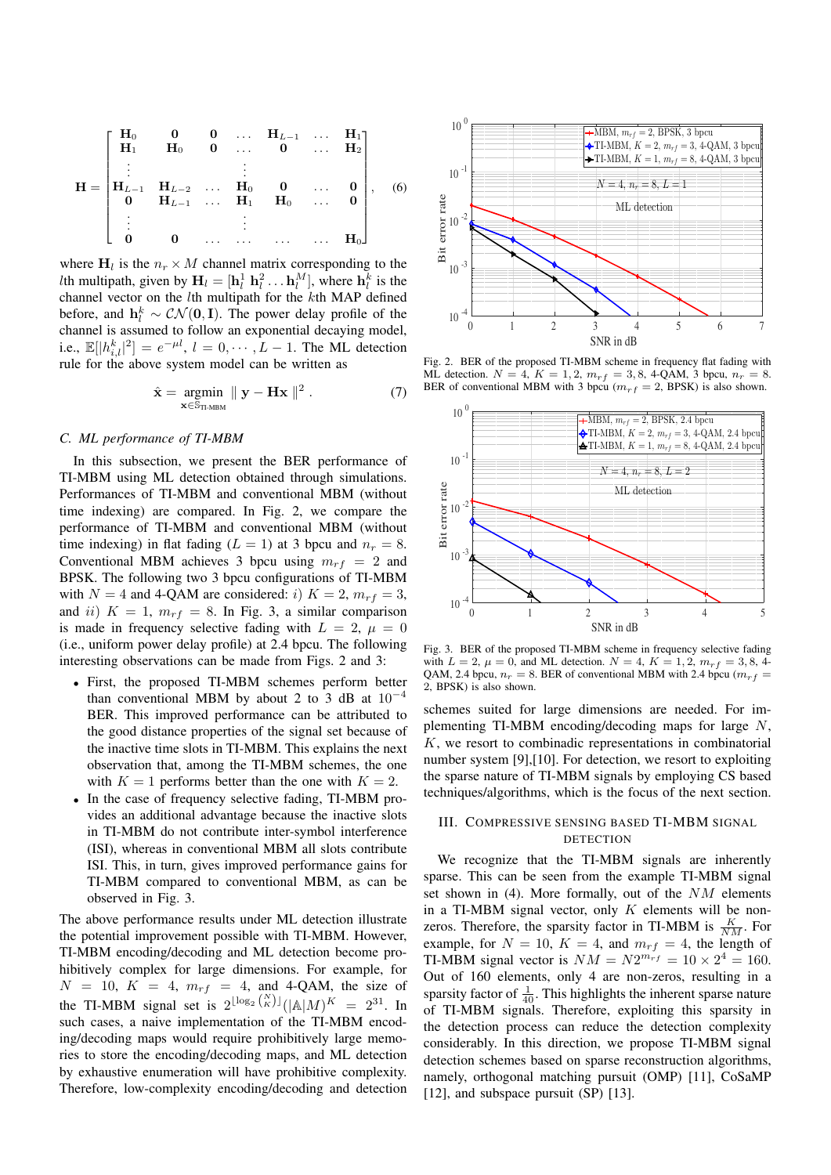$$
\mathbf{H} = \begin{bmatrix} \mathbf{H}_{0} & \mathbf{0} & \mathbf{0} & \dots & \mathbf{H}_{L-1} & \dots & \mathbf{H}_{1} \\ \mathbf{H}_{1} & \mathbf{H}_{0} & \mathbf{0} & \dots & \mathbf{0} & \dots & \mathbf{H}_{2} \\ \vdots & & & \vdots & & \\ \mathbf{H}_{L-1} & \mathbf{H}_{L-2} & \dots & \mathbf{H}_{0} & \mathbf{0} & \dots & \mathbf{0} \\ \mathbf{0} & \mathbf{H}_{L-1} & \dots & \mathbf{H}_{1} & \mathbf{H}_{0} & \dots & \mathbf{0} \\ \vdots & & & \vdots & & \\ \mathbf{0} & \mathbf{0} & \dots & \dots & \dots & \mathbf{H}_{0} \end{bmatrix}, \quad (6)
$$

where  $H_l$  is the  $n_r \times M$  channel matrix corresponding to the *l*th multipath, given by  $\mathbf{H}_l = [\mathbf{h}_l^1 \ \mathbf{h}_l^2 \dots \mathbf{h}_l^M]$ , where  $\mathbf{h}_l^k$  is the channel vector on the *l*th multipath for the *k*th MAP defined before, and  $\mathbf{h}_l^k \sim \mathcal{CN}(\mathbf{0}, \mathbf{I})$ . The power delay profile of the channel is assumed to follow an exponential decaying model, i.e.,  $\mathbb{E}[|h_{i,l}^k|^2] = e^{-\mu l}, l = 0, \cdots, L - 1$ . The ML detection rule for the above system model can be written as

$$
\hat{\mathbf{x}} = \underset{\mathbf{x} \in \mathbb{S}_{\text{TI-MBM}}}{\text{argmin}} \parallel \mathbf{y} - \mathbf{H}\mathbf{x} \parallel^2. \tag{7}
$$

### *C. ML performance of TI-MBM*

In this subsection, we present the BER performance of TI-MBM using ML detection obtained through simulations. Performances of TI-MBM and conventional MBM (without time indexing) are compared. In Fig. 2, we compare the performance of TI-MBM and conventional MBM (without time indexing) in flat fading  $(L = 1)$  at 3 bpcu and  $n_r = 8$ . Conventional MBM achieves 3 bpcu using  $m_{rf} = 2$  and BPSK. The following two 3 bpcu configurations of TI-MBM with  $N = 4$  and 4-QAM are considered: *i*)  $K = 2$ ,  $m_{rf} = 3$ , and *ii*)  $K = 1$ ,  $m_{rf} = 8$ . In Fig. 3, a similar comparison is made in frequency selective fading with  $L = 2$ ,  $\mu = 0$ (i.e., uniform power delay profile) at 2.4 bpcu. The following interesting observations can be made from Figs. 2 and 3:

- *•* First, the proposed TI-MBM schemes perform better than conventional MBM by about 2 to 3 dB at 10*−*<sup>4</sup> BER. This improved performance can be attributed to the good distance properties of the signal set because of the inactive time slots in TI-MBM. This explains the next observation that, among the TI-MBM schemes, the one with  $K = 1$  performs better than the one with  $K = 2$ .
- In the case of frequency selective fading, TI-MBM provides an additional advantage because the inactive slots in TI-MBM do not contribute inter-symbol interference (ISI), whereas in conventional MBM all slots contribute ISI. This, in turn, gives improved performance gains for TI-MBM compared to conventional MBM, as can be observed in Fig. 3.

The above performance results under ML detection illustrate the potential improvement possible with TI-MBM. However, TI-MBM encoding/decoding and ML detection become prohibitively complex for large dimensions. For example, for  $N = 10$ ,  $K = 4$ ,  $m_{rf} = 4$ , and 4-QAM, the size of the TI-MBM signal set is  $2^{\lfloor \log_2 {N \choose K} \rfloor} (\vert A \vert M)^K = 2^{31}$ . In such cases, a naive implementation of the TI-MBM encoding/decoding maps would require prohibitively large memories to store the encoding/decoding maps, and ML detection by exhaustive enumeration will have prohibitive complexity.



Fig. 2. BER of the proposed TI-MBM scheme in frequency flat fading with ML detection.  $N = 4$ ,  $K = 1, 2$ ,  $m_{rf} = 3, 8, 4$ -QAM, 3 bpcu,  $n_r = 8$ . BER of conventional MBM with 3 bpcu  $(m_{rf} = 2, BPSK)$  is also shown.



Fig. 3. BER of the proposed TI-MBM scheme in frequency selective fading with  $L = 2$ ,  $\mu = 0$ , and ML detection.  $N = 4$ ,  $K = 1, 2, m_{rf} = 3, 8, 4$ QAM, 2.4 bpcu,  $n_r = 8$ . BER of conventional MBM with 2.4 bpcu ( $m_{rf}$ ) 2, BPSK) is also shown.

schemes suited for large dimensions are needed. For implementing TI-MBM encoding/decoding maps for large *N*, *K*, we resort to combinadic representations in combinatorial number system [9],[10]. For detection, we resort to exploiting the sparse nature of TI-MBM signals by employing CS based techniques/algorithms, which is the focus of the next section.

# III. COMPRESSIVE SENSING BASED TI-MBM SIGNAL DETECTION

We recognize that the TI-MBM signals are inherently sparse. This can be seen from the example TI-MBM signal set shown in (4). More formally, out of the *NM* elements in a TI-MBM signal vector, only *K* elements will be nonzeros. Therefore, the sparsity factor in TI-MBM is  $\frac{K}{NM}$ . For example, for  $N = 10$ ,  $K = 4$ , and  $m_{rf} = 4$ , the length of TI-MBM signal vector is  $NM = N2^{m_{rf}} = 10 \times 2^4 = 160$ . Out of 160 elements, only 4 are non-zeros, resulting in a sparsity factor of  $\frac{1}{40}$ . This highlights the inherent sparse nature of TI-MBM signals. Therefore, exploiting this sparsity in the detection process can reduce the detection complexity considerably. In this direction, we propose TI-MBM signal detection schemes based on sparse reconstruction algorithms, namely, orthogonal matching pursuit (OMP) [11], CoSaMP [12], and subspace pursuit (SP) [13].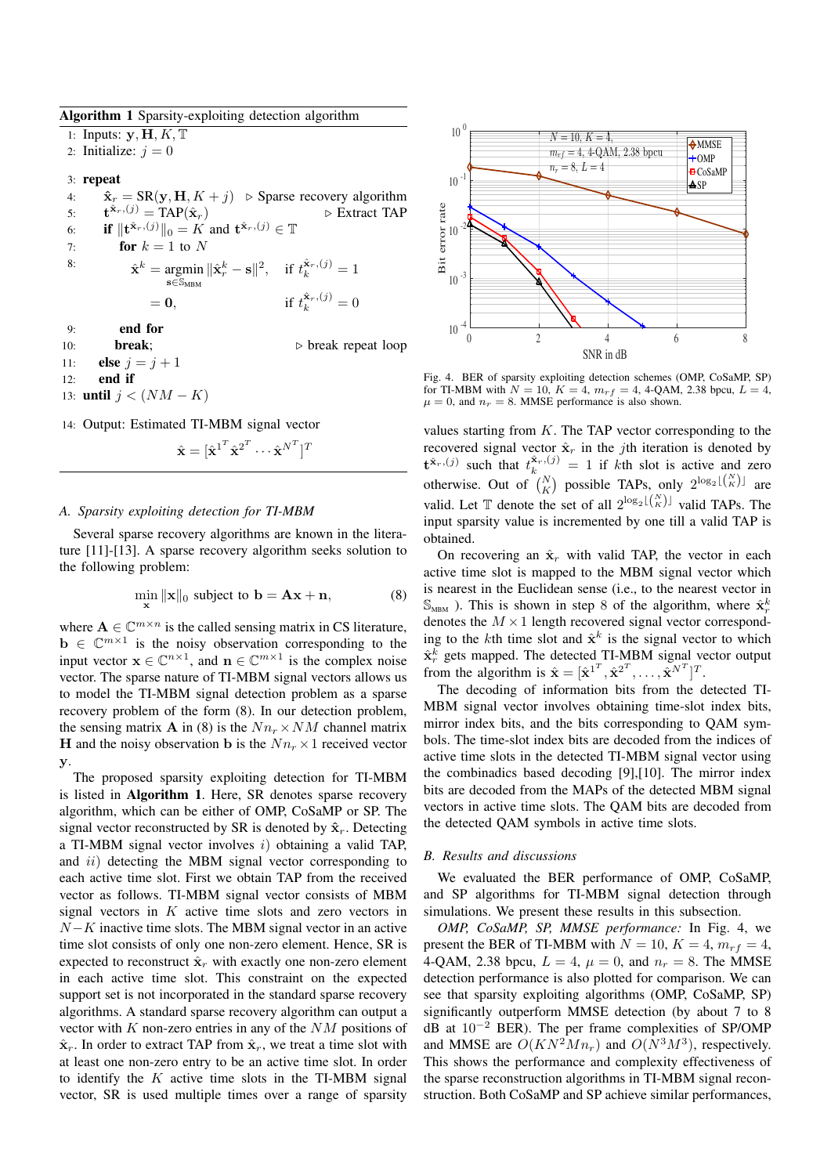| Algorithm 1 Sparsity-exploiting detection algorithm |  |  |  |  |  |
|-----------------------------------------------------|--|--|--|--|--|
|-----------------------------------------------------|--|--|--|--|--|

1: Inputs:  $\mathbf{y}, \mathbf{H}, K, T$ 2: Initialize:  $j = 0$ 3: repeat 4:  $\hat{\mathbf{x}}_r = \text{SR}(\mathbf{y}, \mathbf{H}, K + j)$   $\triangleright$  Sparse recovery algorithm 5:  $\mathbf{t}^{\hat{\mathbf{x}}_r,(j)} = \text{TAP}(\hat{\mathbf{x}}_r)$   $\triangleright$  Extract TAP 6: if  $\|\mathbf{t}^{\hat{\mathbf{x}}_r,(j)}\|_0 = K$  and  $\mathbf{t}^{\hat{\mathbf{x}}_r,(j)} \in \mathbb{T}$ 7: **for**  $k = 1$  to  $N$ 8:  $\hat{\mathbf{x}}^k = \text{argmin}$ **s***∈*SMBM  $\|\hat{\mathbf{x}}_r^k - \mathbf{s}\|^2$ , if  $t_k^{\hat{\mathbf{x}}_r,(j)} = 1$  $= 0,$  if  $t_k^{\hat{\mathbf{x}}_r,(j)} = 0$ 9: end for 10: **break**; **△ break break break break break break b** 11: **else**  $j = j + 1$ 

12: end if

13: **until**  $j < (NM - K)$ 

14: Output: Estimated TI-MBM signal vector

 $\hat{\textbf{x}} = [\hat{\textbf{x}}^{1^T} \hat{\textbf{x}}^{2^T} \cdots \hat{\textbf{x}}^{N^T}]^T$ 

# *A. Sparsity exploiting detection for TI-MBM*

Several sparse recovery algorithms are known in the literature [11]-[13]. A sparse recovery algorithm seeks solution to the following problem:

$$
\min_{\mathbf{x}} \|\mathbf{x}\|_0 \text{ subject to } \mathbf{b} = \mathbf{A}\mathbf{x} + \mathbf{n},\tag{8}
$$

where  $A \in \mathbb{C}^{m \times n}$  is the called sensing matrix in CS literature,  $\mathbf{b} \in \mathbb{C}^{m \times 1}$  is the noisy observation corresponding to the input vector  $\mathbf{x} \in \mathbb{C}^{n \times 1}$ , and  $\mathbf{n} \in \mathbb{C}^{m \times 1}$  is the complex noise vector. The sparse nature of TI-MBM signal vectors allows us to model the TI-MBM signal detection problem as a sparse recovery problem of the form (8). In our detection problem, the sensing matrix **A** in (8) is the  $Nn_r \times NM$  channel matrix **H** and the noisy observation **b** is the  $Nn_r \times 1$  received vector **y**.

The proposed sparsity exploiting detection for TI-MBM is listed in Algorithm 1. Here, SR denotes sparse recovery algorithm, which can be either of OMP, CoSaMP or SP. The signal vector reconstructed by SR is denoted by  $\hat{\mathbf{x}}_r$ . Detecting a TI-MBM signal vector involves *i*) obtaining a valid TAP, and *ii*) detecting the MBM signal vector corresponding to each active time slot. First we obtain TAP from the received vector as follows. TI-MBM signal vector consists of MBM signal vectors in *K* active time slots and zero vectors in *N−K* inactive time slots. The MBM signal vector in an active time slot consists of only one non-zero element. Hence, SR is expected to reconstruct  $\hat{\mathbf{x}}_r$  with exactly one non-zero element in each active time slot. This constraint on the expected support set is not incorporated in the standard sparse recovery algorithms. A standard sparse recovery algorithm can output a vector with *K* non-zero entries in any of the *NM* positions of  $\hat{\mathbf{x}}_r$ . In order to extract TAP from  $\hat{\mathbf{x}}_r$ , we treat a time slot with at least one non-zero entry to be an active time slot. In order to identify the *K* active time slots in the TI-MBM signal is the context of the state of sparse in the state of sparse in the state of sparse of sparse and the state of sparse of sparse and the state of sparse and the state of sparse and the state of sparse and the state of spar



Fig. 4. BER of sparsity exploiting detection schemes (OMP, CoSaMP, SP) for TI-MBM with  $N = 10$ ,  $K = 4$ ,  $m_{rf} = 4$ , 4-QAM, 2.38 bpcu,  $L = 4$ ,  $\mu = 0$ , and  $n_r = 8$ . MMSE performance is also shown.

values starting from *K*. The TAP vector corresponding to the recovered signal vector  $\hat{\mathbf{x}}_r$  in the *j*th iteration is denoted by  $\mathbf{t}^{\hat{\mathbf{x}}_r,(j)}$  such that  $t_k^{\hat{\mathbf{x}}_r,(j)} = 1$  if *k*th slot is active and zero otherwise. Out of  $\binom{N}{K}$  possible TAPs, only  $2^{\log_2\lfloor \binom{N}{K} \rfloor}$  are valid. Let  $\mathbb{T}$  denote the set of all  $2^{\log_2\lfloor {N \choose K} \rfloor}$  valid TAPs. The input sparsity value is incremented by one till a valid TAP is obtained.

On recovering an  $\hat{\mathbf{x}}_r$  with valid TAP, the vector in each active time slot is mapped to the MBM signal vector which is nearest in the Euclidean sense (i.e., to the nearest vector in  $\mathbb{S}_{MBM}$  ). This is shown in step 8 of the algorithm, where  $\hat{\mathbf{x}}_r^k$ denotes the  $M \times 1$  length recovered signal vector corresponding to the *k*th time slot and  $\hat{\mathbf{x}}^k$  is the signal vector to which  $\hat{\mathbf{x}}_r^k$  gets mapped. The detected TI-MBM signal vector output from the algorithm is  $\hat{\mathbf{x}} = [\hat{\mathbf{x}}^{1^T}, \hat{\mathbf{x}}^{2^T}, \dots, \hat{\mathbf{x}}^{N^T}]^T$ .

The decoding of information bits from the detected TI-MBM signal vector involves obtaining time-slot index bits, mirror index bits, and the bits corresponding to QAM symbols. The time-slot index bits are decoded from the indices of active time slots in the detected TI-MBM signal vector using the combinadics based decoding [9],[10]. The mirror index bits are decoded from the MAPs of the detected MBM signal vectors in active time slots. The QAM bits are decoded from the detected QAM symbols in active time slots.

#### *B. Results and discussions*

We evaluated the BER performance of OMP, CoSaMP, and SP algorithms for TI-MBM signal detection through simulations. We present these results in this subsection.

*OMP, CoSaMP, SP, MMSE performance:* In Fig. 4, we present the BER of TI-MBM with  $N = 10$ ,  $K = 4$ ,  $m_{rf} = 4$ , 4-QAM, 2.38 bpcu,  $L = 4$ ,  $\mu = 0$ , and  $n_r = 8$ . The MMSE detection performance is also plotted for comparison. We can see that sparsity exploiting algorithms (OMP, CoSaMP, SP) significantly outperform MMSE detection (by about 7 to 8 dB at 10*−*<sup>2</sup> BER). The per frame complexities of SP/OMP and MMSE are  $O(KN^2Mn_r)$  and  $O(N^3M^3)$ , respectively. This shows the performance and complexity effectiveness of the sparse reconstruction algorithms in TI-MBM signal reconstruction. Both CoSaMP and SP achieve similar performances,